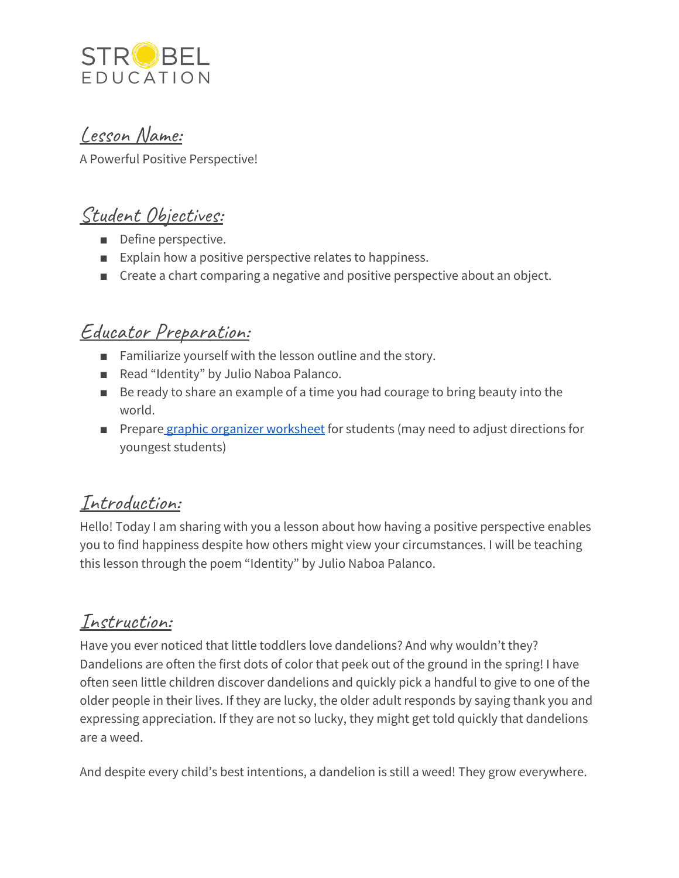

Lesson Name:

A Powerful Positive Perspective!

## Student Objectives:

- Define perspective.
- Explain how a positive perspective relates to happiness.
- Create a chart comparing a negative and positive perspective about an object.

# Educator Preparation:

- Familiarize yourself with the lesson outline and the story.
- Read "Identity" by Julio Naboa Palanco.
- Be ready to share an example of a time you had courage to bring beauty into the world.
- Prepare graphic organizer [worksheet](https://docs.google.com/document/d/1LAHWeXL2f-kk7cOgcflrkX1klcMVDine7Ab1F1bT4lg/edit?usp=sharing) for students (may need to adjust directions for youngest students)

### Introduction:

Hello! Today I am sharing with you a lesson about how having a positive perspective enables you to find happiness despite how others might view your circumstances. I will be teaching this lesson through the poem "Identity" by Julio Naboa Palanco.

### Instruction:

Have you ever noticed that little toddlers love dandelions? And why wouldn't they? Dandelions are often the first dots of color that peek out of the ground in the spring! I have often seen little children discover dandelions and quickly pick a handful to give to one of the older people in their lives. If they are lucky, the older adult responds by saying thank you and expressing appreciation. If they are not so lucky, they might get told quickly that dandelions are a weed.

And despite every child's best intentions, a dandelion is still a weed! They grow everywhere.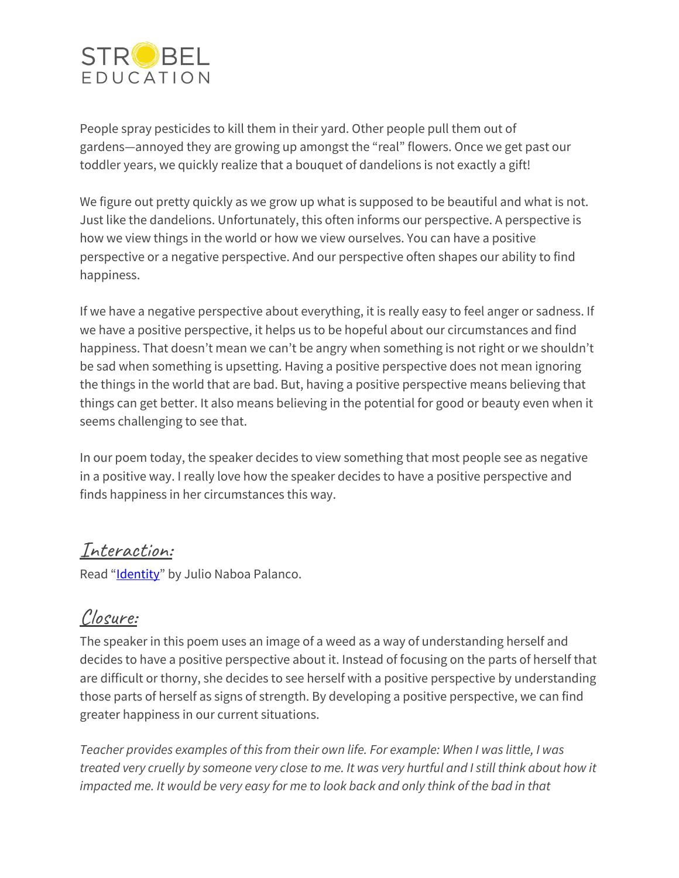

People spray pesticides to kill them in their yard. Other people pull them out of gardens—annoyed they are growing up amongst the "real" flowers. Once we get past our toddler years, we quickly realize that a bouquet of dandelions is not exactly a gift!

We figure out pretty quickly as we grow up what is supposed to be beautiful and what is not. Just like the dandelions. Unfortunately, this often informs our perspective. A perspective is how we view things in the world or how we view ourselves. You can have a positive perspective or a negative perspective. And our perspective often shapes our ability to find happiness.

If we have a negative perspective about everything, it is really easy to feel anger or sadness. If we have a positive perspective, it helps us to be hopeful about our circumstances and find happiness. That doesn't mean we can't be angry when something is not right or we shouldn't be sad when something is upsetting. Having a positive perspective does not mean ignoring the things in the world that are bad. But, having a positive perspective means believing that things can get better. It also means believing in the potential for good or beauty even when it seems challenging to see that.

In our poem today, the speaker decides to view something that most people see as negative in a positive way. I really love how the speaker decides to have a positive perspective and finds happiness in her circumstances this way.

#### Interaction:

Read ["Identity"](https://www.commonlit.org/en/texts/identity) by Julio Naboa Palanco.

### Closure:

The speaker in this poem uses an image of a weed as a way of understanding herself and decides to have a positive perspective about it. Instead of focusing on the parts of herself that are difficult or thorny, she decides to see herself with a positive perspective by understanding those parts of herself as signs of strength. By developing a positive perspective, we can find greater happiness in our current situations.

*Teacher provides examples of this from their own life. For example: When I was little, I was* treated very cruelly by someone very close to me. It was very hurtful and I still think about how it impacted me. It would be very easy for me to look back and only think of the bad in that